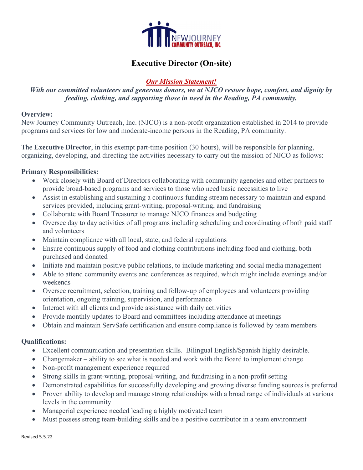

# Executive Director (On-site)

## Our Mission Statement!

## With our committed volunteers and generous donors, we at NJCO restore hope, comfort, and dignity by feeding, clothing, and supporting those in need in the Reading, PA community.

#### Overview:

New Journey Community Outreach, Inc. (NJCO) is a non-profit organization established in 2014 to provide programs and services for low and moderate-income persons in the Reading, PA community.

The Executive Director, in this exempt part-time position (30 hours), will be responsible for planning, organizing, developing, and directing the activities necessary to carry out the mission of NJCO as follows:

### Primary Responsibilities:

- Work closely with Board of Directors collaborating with community agencies and other partners to provide broad-based programs and services to those who need basic necessities to live
- Assist in establishing and sustaining a continuous funding stream necessary to maintain and expand services provided, including grant-writing, proposal-writing, and fundraising
- Collaborate with Board Treasurer to manage NJCO finances and budgeting
- Oversee day to day activities of all programs including scheduling and coordinating of both paid staff and volunteers
- Maintain compliance with all local, state, and federal regulations
- Ensure continuous supply of food and clothing contributions including food and clothing, both purchased and donated
- Initiate and maintain positive public relations, to include marketing and social media management
- Able to attend community events and conferences as required, which might include evenings and/or weekends
- Oversee recruitment, selection, training and follow-up of employees and volunteers providing orientation, ongoing training, supervision, and performance
- Interact with all clients and provide assistance with daily activities
- Provide monthly updates to Board and committees including attendance at meetings
- Obtain and maintain ServSafe certification and ensure compliance is followed by team members

#### Qualifications:

- Excellent communication and presentation skills. Bilingual English/Spanish highly desirable.
- Changemaker ability to see what is needed and work with the Board to implement change
- Non-profit management experience required
- Strong skills in grant-writing, proposal-writing, and fundraising in a non-profit setting
- Demonstrated capabilities for successfully developing and growing diverse funding sources is preferred
- Proven ability to develop and manage strong relationships with a broad range of individuals at various levels in the community
- Managerial experience needed leading a highly motivated team
- Must possess strong team-building skills and be a positive contributor in a team environment